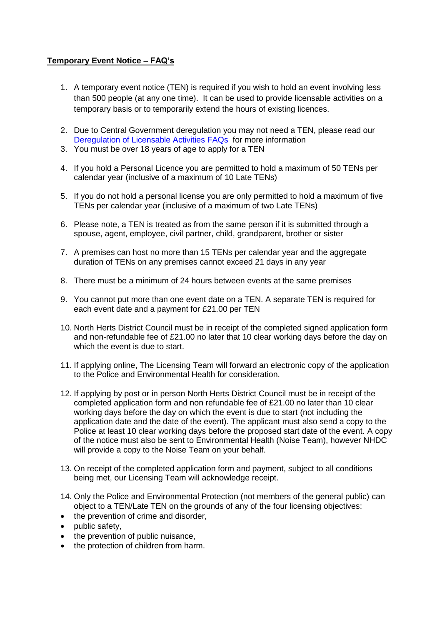## **Temporary Event Notice – FAQ's**

- 1. A temporary event notice (TEN) is required if you wish to hold an event involving less than 500 people (at any one time). It can be used to provide licensable activities on a temporary basis or to temporarily extend the hours of existing licences.
- 2. Due to Central Government deregulation you may not need a TEN, please read our [Deregulation of Licensable Activities FAQs](/media/27859/Deregulation-FAQs/PDF/Deregulation_FAQ_-_website_text.pdf) for more information
- 3. You must be over 18 years of age to apply for a TEN
- 4. If you hold a Personal Licence you are permitted to hold a maximum of 50 TENs per calendar year (inclusive of a maximum of 10 Late TENs)
- 5. If you do not hold a personal license you are only permitted to hold a maximum of five TENs per calendar year (inclusive of a maximum of two Late TENs)
- 6. Please note, a TEN is treated as from the same person if it is submitted through a spouse, agent, employee, civil partner, child, grandparent, brother or sister
- 7. A premises can host no more than 15 TENs per calendar year and the aggregate duration of TENs on any premises cannot exceed 21 days in any year
- 8. There must be a minimum of 24 hours between events at the same premises
- 9. You cannot put more than one event date on a TEN. A separate TEN is required for each event date and a payment for £21.00 per TEN
- 10. North Herts District Council must be in receipt of the completed signed application form and non-refundable fee of £21.00 no later that 10 clear working days before the day on which the event is due to start.
- 11. If applying online, The Licensing Team will forward an electronic copy of the application to the Police and Environmental Health for consideration.
- 12. If applying by post or in person North Herts District Council must be in receipt of the completed application form and non refundable fee of £21.00 no later than 10 clear working days before the day on which the event is due to start (not including the application date and the date of the event). The applicant must also send a copy to the Police at least 10 clear working days before the proposed start date of the event. A copy of the notice must also be sent to Environmental Health (Noise Team), however NHDC will provide a copy to the Noise Team on your behalf.
- 13. On receipt of the completed application form and payment, subject to all conditions being met, our Licensing Team will acknowledge receipt.
- 14. Only the Police and Environmental Protection (not members of the general public) can object to a TEN/Late TEN on the grounds of any of the four licensing objectives:
- the prevention of crime and disorder,
- public safety,
- the prevention of public nuisance,
- the protection of children from harm.